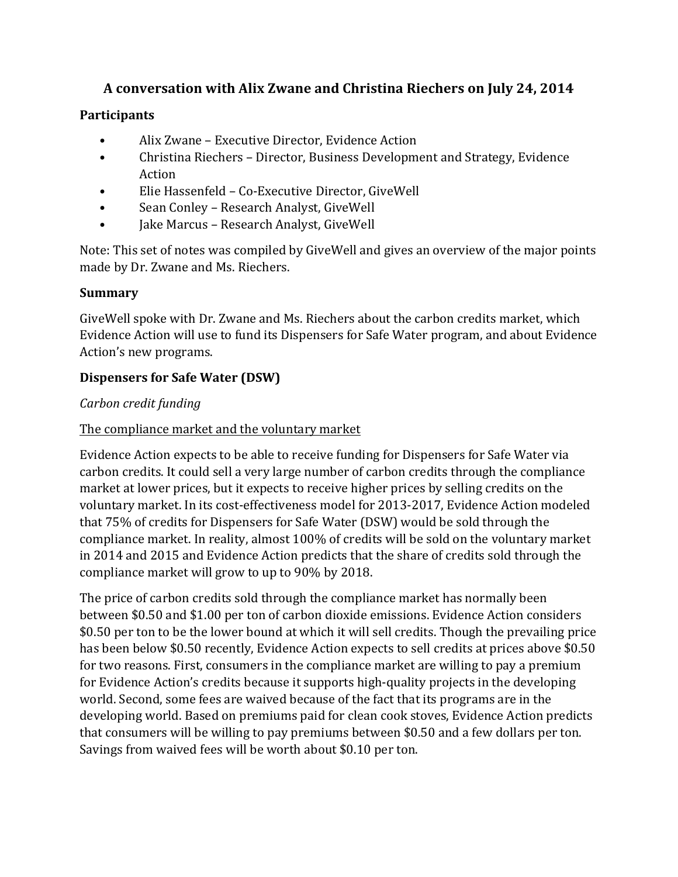# A conversation with Alix Zwane and Christina Riechers on July 24, 2014

## **Participants**

- Alix Zwane Executive Director, Evidence Action
- Christina Riechers Director, Business Development and Strategy, Evidence Action
- Elie Hassenfeld Co-Executive Director, GiveWell
- Sean Conley Research Analyst, GiveWell
- Jake Marcus Research Analyst, GiveWell

Note: This set of notes was compiled by GiveWell and gives an overview of the major points made by Dr. Zwane and Ms. Riechers.

## **Summary**

GiveWell spoke with Dr. Zwane and Ms. Riechers about the carbon credits market, which Evidence Action will use to fund its Dispensers for Safe Water program, and about Evidence Action's new programs.

# **Dispensers for Safe Water (DSW)**

## *Carbon credit funding*

## The compliance market and the voluntary market

Evidence Action expects to be able to receive funding for Dispensers for Safe Water via carbon credits. It could sell a very large number of carbon credits through the compliance market at lower prices, but it expects to receive higher prices by selling credits on the voluntary market. In its cost-effectiveness model for 2013-2017, Evidence Action modeled that  $75\%$  of credits for Dispensers for Safe Water (DSW) would be sold through the compliance market. In reality, almost 100% of credits will be sold on the voluntary market in 2014 and 2015 and Evidence Action predicts that the share of credits sold through the compliance market will grow to up to 90% by 2018.

The price of carbon credits sold through the compliance market has normally been between \$0.50 and \$1.00 per ton of carbon dioxide emissions. Evidence Action considers \$0.50 per ton to be the lower bound at which it will sell credits. Though the prevailing price has been below \$0.50 recently, Evidence Action expects to sell credits at prices above \$0.50 for two reasons. First, consumers in the compliance market are willing to pay a premium for Evidence Action's credits because it supports high-quality projects in the developing world. Second, some fees are waived because of the fact that its programs are in the developing world. Based on premiums paid for clean cook stoves, Evidence Action predicts that consumers will be willing to pay premiums between \$0.50 and a few dollars per ton. Savings from waived fees will be worth about \$0.10 per ton.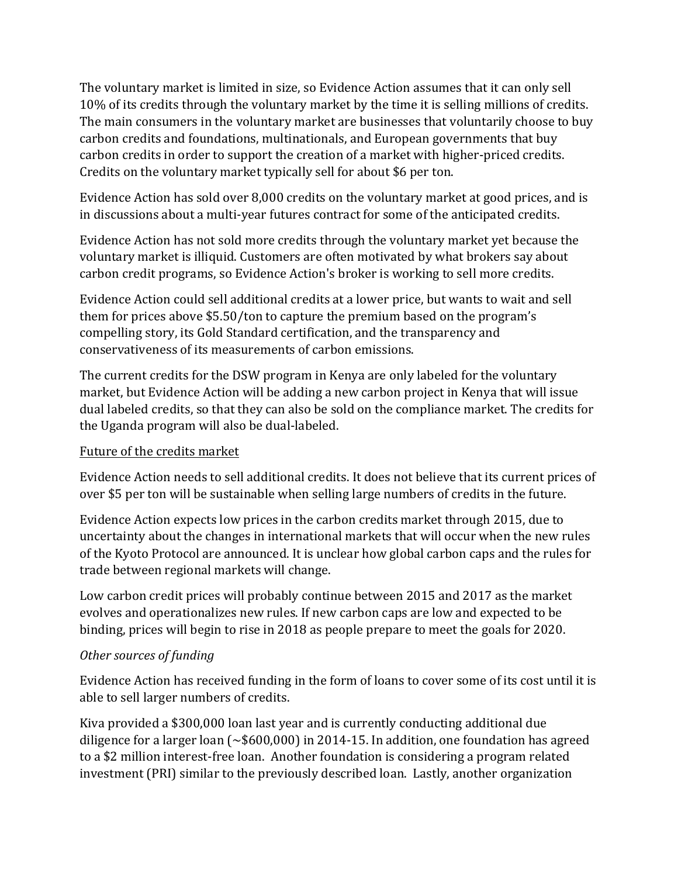The voluntary market is limited in size, so Evidence Action assumes that it can only sell 10% of its credits through the voluntary market by the time it is selling millions of credits. The main consumers in the voluntary market are businesses that voluntarily choose to buy carbon credits and foundations, multinationals, and European governments that buy carbon credits in order to support the creation of a market with higher-priced credits. Credits on the voluntary market typically sell for about \$6 per ton.

Evidence Action has sold over 8,000 credits on the voluntary market at good prices, and is in discussions about a multi-year futures contract for some of the anticipated credits.

Evidence Action has not sold more credits through the voluntary market yet because the voluntary market is illiquid. Customers are often motivated by what brokers say about carbon credit programs, so Evidence Action's broker is working to sell more credits.

Evidence Action could sell additional credits at a lower price, but wants to wait and sell them for prices above \$5.50/ton to capture the premium based on the program's compelling story, its Gold Standard certification, and the transparency and conservativeness of its measurements of carbon emissions.

The current credits for the DSW program in Kenya are only labeled for the voluntary market, but Evidence Action will be adding a new carbon project in Kenya that will issue dual labeled credits, so that they can also be sold on the compliance market. The credits for the Uganda program will also be dual-labeled.

## Future of the credits market

Evidence Action needs to sell additional credits. It does not believe that its current prices of over \$5 per ton will be sustainable when selling large numbers of credits in the future.

Evidence Action expects low prices in the carbon credits market through 2015, due to uncertainty about the changes in international markets that will occur when the new rules of the Kyoto Protocol are announced. It is unclear how global carbon caps and the rules for trade between regional markets will change.

Low carbon credit prices will probably continue between 2015 and 2017 as the market evolves and operationalizes new rules. If new carbon caps are low and expected to be binding, prices will begin to rise in 2018 as people prepare to meet the goals for 2020.

## *Other sources of funding*

Evidence Action has received funding in the form of loans to cover some of its cost until it is able to sell larger numbers of credits.

Kiva provided a \$300,000 loan last year and is currently conducting additional due diligence for a larger loan  $\sim$  \$600,000) in 2014-15. In addition, one foundation has agreed to a \$2 million interest-free loan. Another foundation is considering a program related investment (PRI) similar to the previously described loan. Lastly, another organization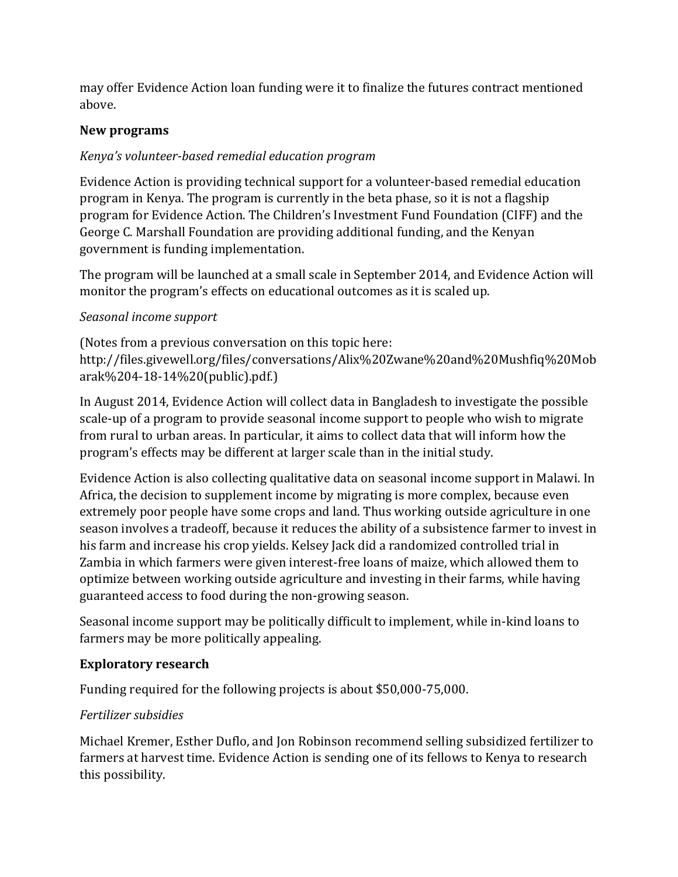may offer Evidence Action loan funding were it to finalize the futures contract mentioned above. 

## **New programs**

# *Kenya's volunteer-based remedial education program*

Evidence Action is providing technical support for a volunteer-based remedial education program in Kenya. The program is currently in the beta phase, so it is not a flagship program for Evidence Action. The Children's Investment Fund Foundation (CIFF) and the George C. Marshall Foundation are providing additional funding, and the Kenyan government is funding implementation.

The program will be launched at a small scale in September 2014, and Evidence Action will monitor the program's effects on educational outcomes as it is scaled up.

# *Seasonal income support*

(Notes from a previous conversation on this topic here: http://files.givewell.org/files/conversations/Alix%20Zwane%20and%20Mushfiq%20Mob arak%204-18-14%20(public).pdf.)

In August 2014, Evidence Action will collect data in Bangladesh to investigate the possible scale-up of a program to provide seasonal income support to people who wish to migrate from rural to urban areas. In particular, it aims to collect data that will inform how the program's effects may be different at larger scale than in the initial study.

Evidence Action is also collecting qualitative data on seasonal income support in Malawi. In Africa, the decision to supplement income by migrating is more complex, because even extremely poor people have some crops and land. Thus working outside agriculture in one season involves a tradeoff, because it reduces the ability of a subsistence farmer to invest in his farm and increase his crop yields. Kelsey Jack did a randomized controlled trial in Zambia in which farmers were given interest-free loans of maize, which allowed them to optimize between working outside agriculture and investing in their farms, while having guaranteed access to food during the non-growing season.

Seasonal income support may be politically difficult to implement, while in-kind loans to farmers may be more politically appealing.

# **Exploratory research**

Funding required for the following projects is about \$50,000-75,000.

# *Fertilizer subsidies*

Michael Kremer, Esther Duflo, and Jon Robinson recommend selling subsidized fertilizer to farmers at harvest time. Evidence Action is sending one of its fellows to Kenya to research this possibility.